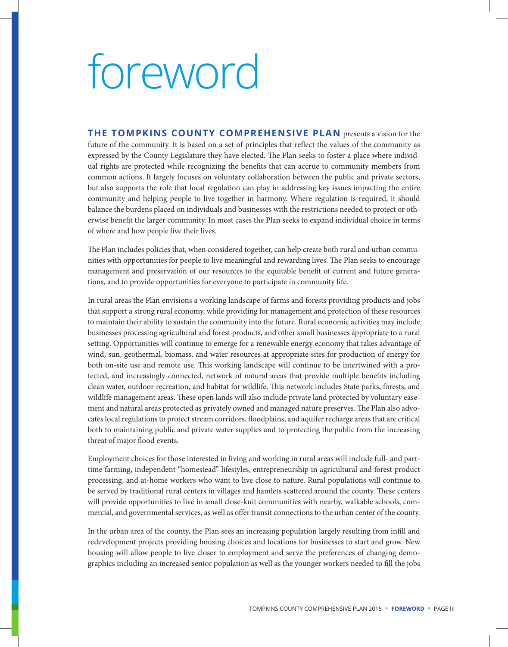## foreword

**THE TOMPKINS COUNTY COMPREHENSIVE PLAN** presents a vision for the future of the community. It is based on a set of principles that reflect the values of the community as expressed by the County Legislature they have elected. The Plan seeks to foster a place where individual rights are protected while recognizing the benefits that can accrue to community members from common actions. It largely focuses on voluntary collaboration between the public and private sectors, but also supports the role that local regulation can play in addressing key issues impacting the entire community and helping people to live together in harmony. Where regulation is required, it should balance the burdens placed on individuals and businesses with the restrictions needed to protect or otherwise benefit the larger community. In most cases the Plan seeks to expand individual choice in terms of where and how people live their lives.

The Plan includes policies that, when considered together, can help create both rural and urban communities with opportunities for people to live meaningful and rewarding lives. The Plan seeks to encourage management and preservation of our resources to the equitable benefit of current and future generations, and to provide opportunities for everyone to participate in community life.

In rural areas the Plan envisions a working landscape of farms and forests providing products and jobs that support a strong rural economy, while providing for management and protection of these resources to maintain their ability to sustain the community into the future. Rural economic activities may include businesses processing agricultural and forest products, and other small businesses appropriate to a rural setting. Opportunities will continue to emerge for a renewable energy economy that takes advantage of wind, sun, geothermal, biomass, and water resources at appropriate sites for production of energy for both on-site use and remote use. This working landscape will continue to be intertwined with a protected, and increasingly connected, network of natural areas that provide multiple benefits including clean water, outdoor recreation, and habitat for wildlife. This network includes State parks, forests, and wildlife management areas. These open lands will also include private land protected by voluntary easement and natural areas protected as privately owned and managed nature preserves. The Plan also advocates local regulations to protect stream corridors, floodplains, and aquifer recharge areas that are critical both to maintaining public and private water supplies and to protecting the public from the increasing threat of major flood events.

Employment choices for those interested in living and working in rural areas will include full- and parttime farming, independent "homestead" lifestyles, entrepreneurship in agricultural and forest product processing, and at-home workers who want to live close to nature. Rural populations will continue to be served by traditional rural centers in villages and hamlets scattered around the county. These centers will provide opportunities to live in small close-knit communities with nearby, walkable schools, commercial, and governmental services, as well as offer transit connections to the urban center of the county.

In the urban area of the county, the Plan sees an increasing population largely resulting from infill and redevelopment projects providing housing choices and locations for businesses to start and grow. New housing will allow people to live closer to employment and serve the preferences of changing demographics including an increased senior population as well as the younger workers needed to fill the jobs